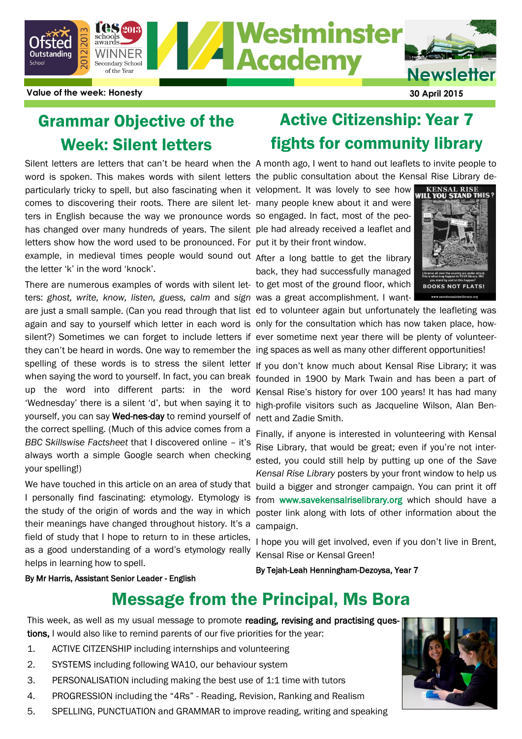

**Value of the week: Honesty 30 April 2015**

## Grammar Objective of the Week: Silent letters

word is spoken. This makes words with silent letters the public consultation about the Kensal Rise Library departicularly tricky to spell, but also fascinating when it velopment. It was lovely to see how comes to discovering their roots. There are silent let-many people knew about it and were ters in English because the way we pronounce words so engaged. In fact, most of the peohas changed over many hundreds of years. The silent ple had already received a leaflet and letters show how the word used to be pronounced. For put it by their front window. example, in medieval times people would sound out After a long battle to get the library the letter 'k' in the word 'knock'.

There are numerous examples of words with silent let-to get most of the ground floor, which ters: *ghost, write, know, listen, guess, calm* and *sign* was a great accomplishment. I wantspelling of these words is to stress the silent letter when saying the word to yourself. In fact, you can break up the word into different parts: in the word 'Wednesday' there is a silent 'd', but when saying it to yourself, you can say Wed-nes-day to remind yourself of the correct spelling. (Much of this advice comes from a *BBC Skillswise Factsheet* that I discovered online – it's always worth a simple Google search when checking your spelling!)

I personally find fascinating: etymology. Etymology is the study of the origin of words and the way in which their meanings have changed throughout history. It's a field of study that I hope to return to in these articles, as a good understanding of a word's etymology really helps in learning how to spell.

By Mr Harris, Assistant Senior Leader - English

# Active Citizenship: Year 7 fights for community library

Silent letters are letters that can't be heard when the A month ago, I went to hand out leaflets to invite people to

back, they had successfully managed



are just a small sample. (Can you read through that list ed to volunteer again but unfortunately the leafleting was again and say to yourself which letter in each word is only for the consultation which has now taken place, howsilent?) Sometimes we can forget to include letters if ever sometime next year there will be plenty of volunteerthey can't be heard in words. One way to remember the ing spaces as well as many other different opportunities!

> If you don't know much about Kensal Rise Library; it was founded in 1900 by Mark Twain and has been a part of Kensal Rise's history for over 100 years! It has had many high-profile visitors such as Jacqueline Wilson, Alan Bennett and Zadie Smith.

We have touched in this article on an area of study that build a bigger and stronger campaign. You can print it off Finally, if anyone is interested in volunteering with Kensal Rise Library, that would be great; even if you're not interested, you could still help by putting up one of the *Save Kensal Rise Library* posters by your front window to help us from www.savekensalriselibrary.org which should have a poster link along with lots of other information about the campaign.

> I hope you will get involved, even if you don't live in Brent, Kensal Rise or Kensal Green!

By Tejah-Leah Henningham-Dezoysa, Year 7

# Message from the Principal, Ms Bora

This week, as well as my usual message to promote reading, revising and practising questions, I would also like to remind parents of our five priorities for the year:

- 1. ACTIVE CITZENSHIP including internships and volunteering
- 2. SYSTEMS including following WA10, our behaviour system
- 3. PERSONALISATION including making the best use of 1:1 time with tutors
- 4. PROGRESSION including the "4Rs" Reading, Revision, Ranking and Realism
- 5. SPELLING, PUNCTUATION and GRAMMAR to improve reading, writing and speaking